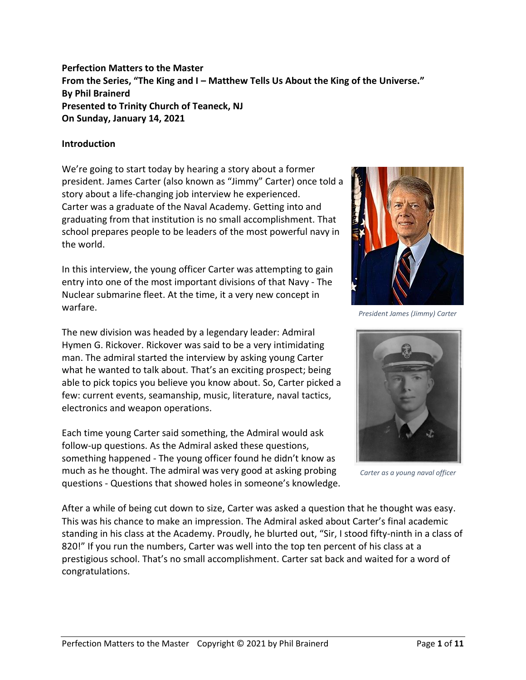**Perfection Matters to the Master From the Series, "The King and I – Matthew Tells Us About the King of the Universe." By Phil Brainerd Presented to Trinity Church of Teaneck, NJ On Sunday, January 14, 2021**

## **Introduction**

We're going to start today by hearing a story about a former president. James Carter (also known as "Jimmy" Carter) once told a story about a life-changing job interview he experienced. Carter was a graduate of the Naval Academy. Getting into and graduating from that institution is no small accomplishment. That school prepares people to be leaders of the most powerful navy in the world.

In this interview, the young officer Carter was attempting to gain entry into one of the most important divisions of that Navy - The Nuclear submarine fleet. At the time, it a very new concept in warfare.

The new division was headed by a legendary leader: Admiral Hymen G. Rickover. Rickover was said to be a very intimidating man. The admiral started the interview by asking young Carter what he wanted to talk about. That's an exciting prospect; being able to pick topics you believe you know about. So, Carter picked a few: current events, seamanship, music, literature, naval tactics, electronics and weapon operations.

Each time young Carter said something, the Admiral would ask follow-up questions. As the Admiral asked these questions, something happened - The young officer found he didn't know as much as he thought. The admiral was very good at asking probing questions - Questions that showed holes in someone's knowledge.



*President James (Jimmy) Carter*



*Carter as a young naval officer*

After a while of being cut down to size, Carter was asked a question that he thought was easy. This was his chance to make an impression. The Admiral asked about Carter's final academic standing in his class at the Academy. Proudly, he blurted out, "Sir, I stood fifty-ninth in a class of 820!" If you run the numbers, Carter was well into the top ten percent of his class at a prestigious school. That's no small accomplishment. Carter sat back and waited for a word of congratulations.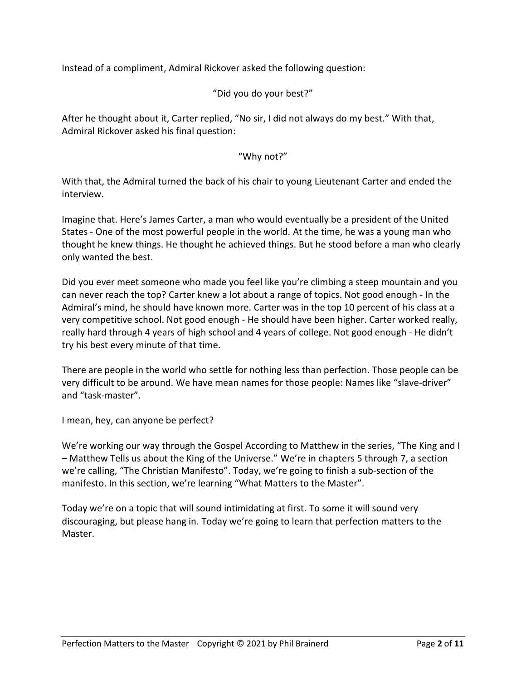Instead of a compliment, Admiral Rickover asked the following question:

## "Did you do your best?"

After he thought about it, Carter replied, "No sir, I did not always do my best." With that, Admiral Rickover asked his final question:

## "Why not?"

With that, the Admiral turned the back of his chair to young Lieutenant Carter and ended the interview.

Imagine that. Here's James Carter, a man who would eventually be a president of the United States - One of the most powerful people in the world. At the time, he was a young man who thought he knew things. He thought he achieved things. But he stood before a man who clearly only wanted the best.

Did you ever meet someone who made you feel like you're climbing a steep mountain and you can never reach the top? Carter knew a lot about a range of topics. Not good enough - In the Admiral's mind, he should have known more. Carter was in the top 10 percent of his class at a very competitive school. Not good enough - He should have been higher. Carter worked really, really hard through 4 years of high school and 4 years of college. Not good enough - He didn't try his best every minute of that time.

There are people in the world who settle for nothing less than perfection. Those people can be very difficult to be around. We have mean names for those people: Names like "slave-driver" and "task-master".

I mean, hey, can anyone be perfect?

We're working our way through the Gospel According to Matthew in the series, "The King and I – Matthew Tells us about the King of the Universe." We're in chapters 5 through 7, a section we're calling, "The Christian Manifesto". Today, we're going to finish a sub-section of the manifesto. In this section, we're learning "What Matters to the Master".

Today we're on a topic that will sound intimidating at first. To some it will sound very discouraging, but please hang in. Today we're going to learn that perfection matters to the Master.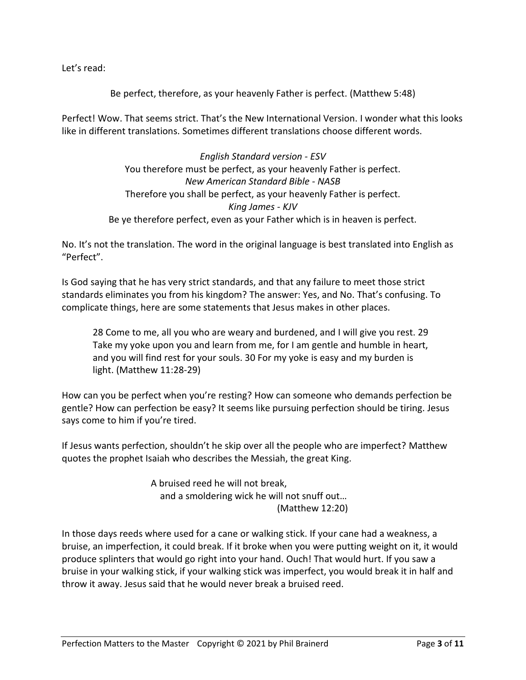Let's read:

Be perfect, therefore, as your heavenly Father is perfect. (Matthew 5:48)

Perfect! Wow. That seems strict. That's the New International Version. I wonder what this looks like in different translations. Sometimes different translations choose different words.

> *English Standard version - ESV* You therefore must be perfect, as your heavenly Father is perfect. *New American Standard Bible - NASB* Therefore you shall be perfect, as your heavenly Father is perfect. *King James - KJV* Be ye therefore perfect, even as your Father which is in heaven is perfect.

No. It's not the translation. The word in the original language is best translated into English as "Perfect".

Is God saying that he has very strict standards, and that any failure to meet those strict standards eliminates you from his kingdom? The answer: Yes, and No. That's confusing. To complicate things, here are some statements that Jesus makes in other places.

28 Come to me, all you who are weary and burdened, and I will give you rest. 29 Take my yoke upon you and learn from me, for I am gentle and humble in heart, and you will find rest for your souls. 30 For my yoke is easy and my burden is light. (Matthew 11:28-29)

How can you be perfect when you're resting? How can someone who demands perfection be gentle? How can perfection be easy? It seems like pursuing perfection should be tiring. Jesus says come to him if you're tired.

If Jesus wants perfection, shouldn't he skip over all the people who are imperfect? Matthew quotes the prophet Isaiah who describes the Messiah, the great King.

> A bruised reed he will not break, and a smoldering wick he will not snuff out… (Matthew 12:20)

In those days reeds where used for a cane or walking stick. If your cane had a weakness, a bruise, an imperfection, it could break. If it broke when you were putting weight on it, it would produce splinters that would go right into your hand. Ouch! That would hurt. If you saw a bruise in your walking stick, if your walking stick was imperfect, you would break it in half and throw it away. Jesus said that he would never break a bruised reed.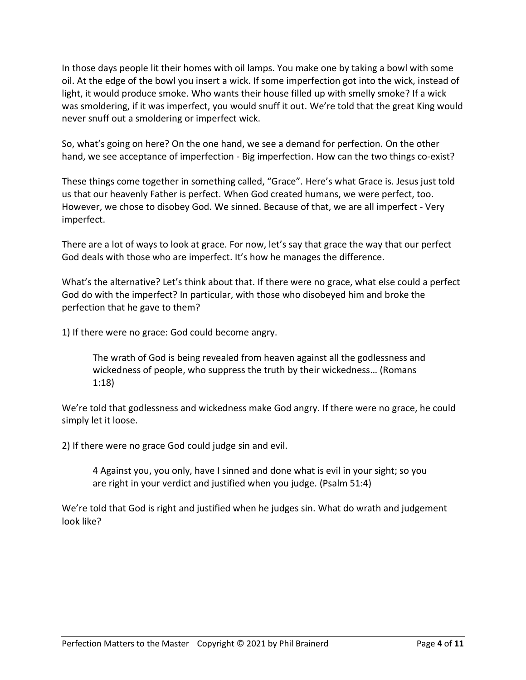In those days people lit their homes with oil lamps. You make one by taking a bowl with some oil. At the edge of the bowl you insert a wick. If some imperfection got into the wick, instead of light, it would produce smoke. Who wants their house filled up with smelly smoke? If a wick was smoldering, if it was imperfect, you would snuff it out. We're told that the great King would never snuff out a smoldering or imperfect wick.

So, what's going on here? On the one hand, we see a demand for perfection. On the other hand, we see acceptance of imperfection - Big imperfection. How can the two things co-exist?

These things come together in something called, "Grace". Here's what Grace is. Jesus just told us that our heavenly Father is perfect. When God created humans, we were perfect, too. However, we chose to disobey God. We sinned. Because of that, we are all imperfect - Very imperfect.

There are a lot of ways to look at grace. For now, let's say that grace the way that our perfect God deals with those who are imperfect. It's how he manages the difference.

What's the alternative? Let's think about that. If there were no grace, what else could a perfect God do with the imperfect? In particular, with those who disobeyed him and broke the perfection that he gave to them?

1) If there were no grace: God could become angry.

The wrath of God is being revealed from heaven against all the godlessness and wickedness of people, who suppress the truth by their wickedness… (Romans 1:18)

We're told that godlessness and wickedness make God angry. If there were no grace, he could simply let it loose.

2) If there were no grace God could judge sin and evil.

4 Against you, you only, have I sinned and done what is evil in your sight; so you are right in your verdict and justified when you judge. (Psalm 51:4)

We're told that God is right and justified when he judges sin. What do wrath and judgement look like?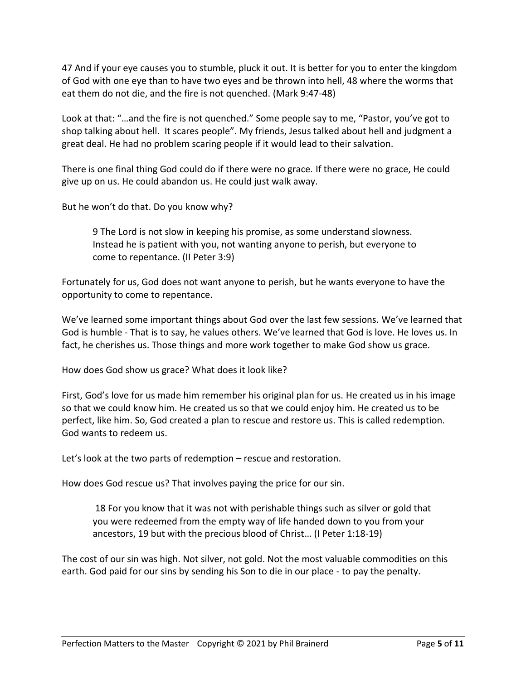47 And if your eye causes you to stumble, pluck it out. It is better for you to enter the kingdom of God with one eye than to have two eyes and be thrown into hell, 48 where the worms that eat them do not die, and the fire is not quenched. (Mark 9:47-48)

Look at that: "…and the fire is not quenched." Some people say to me, "Pastor, you've got to shop talking about hell. It scares people". My friends, Jesus talked about hell and judgment a great deal. He had no problem scaring people if it would lead to their salvation.

There is one final thing God could do if there were no grace. If there were no grace, He could give up on us. He could abandon us. He could just walk away.

But he won't do that. Do you know why?

9 The Lord is not slow in keeping his promise, as some understand slowness. Instead he is patient with you, not wanting anyone to perish, but everyone to come to repentance. (II Peter 3:9)

Fortunately for us, God does not want anyone to perish, but he wants everyone to have the opportunity to come to repentance.

We've learned some important things about God over the last few sessions. We've learned that God is humble - That is to say, he values others. We've learned that God is love. He loves us. In fact, he cherishes us. Those things and more work together to make God show us grace.

How does God show us grace? What does it look like?

First, God's love for us made him remember his original plan for us. He created us in his image so that we could know him. He created us so that we could enjoy him. He created us to be perfect, like him. So, God created a plan to rescue and restore us. This is called redemption. God wants to redeem us.

Let's look at the two parts of redemption – rescue and restoration.

How does God rescue us? That involves paying the price for our sin.

18 For you know that it was not with perishable things such as silver or gold that you were redeemed from the empty way of life handed down to you from your ancestors, 19 but with the precious blood of Christ… (I Peter 1:18-19)

The cost of our sin was high. Not silver, not gold. Not the most valuable commodities on this earth. God paid for our sins by sending his Son to die in our place - to pay the penalty.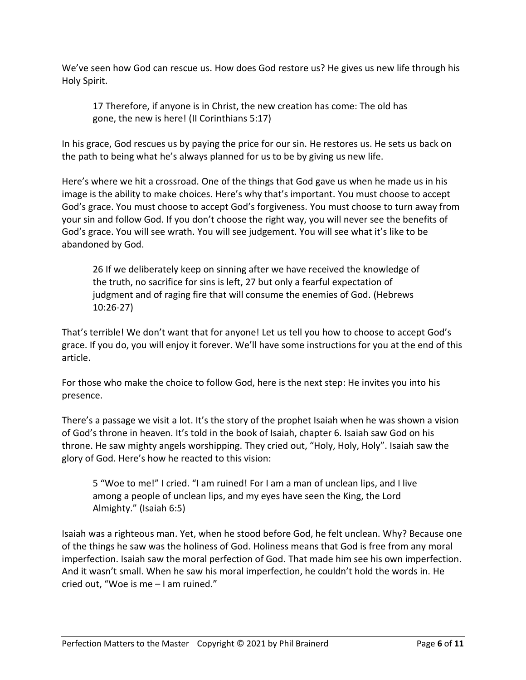We've seen how God can rescue us. How does God restore us? He gives us new life through his Holy Spirit.

17 Therefore, if anyone is in Christ, the new creation has come: The old has gone, the new is here! (II Corinthians 5:17)

In his grace, God rescues us by paying the price for our sin. He restores us. He sets us back on the path to being what he's always planned for us to be by giving us new life.

Here's where we hit a crossroad. One of the things that God gave us when he made us in his image is the ability to make choices. Here's why that's important. You must choose to accept God's grace. You must choose to accept God's forgiveness. You must choose to turn away from your sin and follow God. If you don't choose the right way, you will never see the benefits of God's grace. You will see wrath. You will see judgement. You will see what it's like to be abandoned by God.

26 If we deliberately keep on sinning after we have received the knowledge of the truth, no sacrifice for sins is left, 27 but only a fearful expectation of judgment and of raging fire that will consume the enemies of God. (Hebrews 10:26-27)

That's terrible! We don't want that for anyone! Let us tell you how to choose to accept God's grace. If you do, you will enjoy it forever. We'll have some instructions for you at the end of this article.

For those who make the choice to follow God, here is the next step: He invites you into his presence.

There's a passage we visit a lot. It's the story of the prophet Isaiah when he was shown a vision of God's throne in heaven. It's told in the book of Isaiah, chapter 6. Isaiah saw God on his throne. He saw mighty angels worshipping. They cried out, "Holy, Holy, Holy". Isaiah saw the glory of God. Here's how he reacted to this vision:

5 "Woe to me!" I cried. "I am ruined! For I am a man of unclean lips, and I live among a people of unclean lips, and my eyes have seen the King, the Lord Almighty." (Isaiah 6:5)

Isaiah was a righteous man. Yet, when he stood before God, he felt unclean. Why? Because one of the things he saw was the holiness of God. Holiness means that God is free from any moral imperfection. Isaiah saw the moral perfection of God. That made him see his own imperfection. And it wasn't small. When he saw his moral imperfection, he couldn't hold the words in. He cried out, "Woe is me – I am ruined."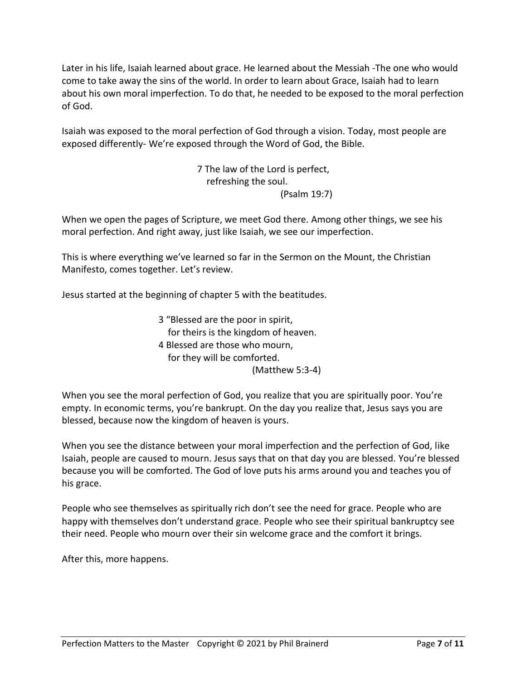Later in his life, Isaiah learned about grace. He learned about the Messiah -The one who would come to take away the sins of the world. In order to learn about Grace, Isaiah had to learn about his own moral imperfection. To do that, he needed to be exposed to the moral perfection of God.

Isaiah was exposed to the moral perfection of God through a vision. Today, most people are exposed differently- We're exposed through the Word of God, the Bible.

> 7 The law of the Lord is perfect, refreshing the soul. (Psalm 19:7)

When we open the pages of Scripture, we meet God there. Among other things, we see his moral perfection. And right away, just like Isaiah, we see our imperfection.

This is where everything we've learned so far in the Sermon on the Mount, the Christian Manifesto, comes together. Let's review.

Jesus started at the beginning of chapter 5 with the beatitudes.

3 "Blessed are the poor in spirit, for theirs is the kingdom of heaven. 4 Blessed are those who mourn, for they will be comforted. (Matthew 5:3-4)

When you see the moral perfection of God, you realize that you are spiritually poor. You're empty. In economic terms, you're bankrupt. On the day you realize that, Jesus says you are blessed, because now the kingdom of heaven is yours.

When you see the distance between your moral imperfection and the perfection of God, like Isaiah, people are caused to mourn. Jesus says that on that day you are blessed. You're blessed because you will be comforted. The God of love puts his arms around you and teaches you of his grace.

People who see themselves as spiritually rich don't see the need for grace. People who are happy with themselves don't understand grace. People who see their spiritual bankruptcy see their need. People who mourn over their sin welcome grace and the comfort it brings.

After this, more happens.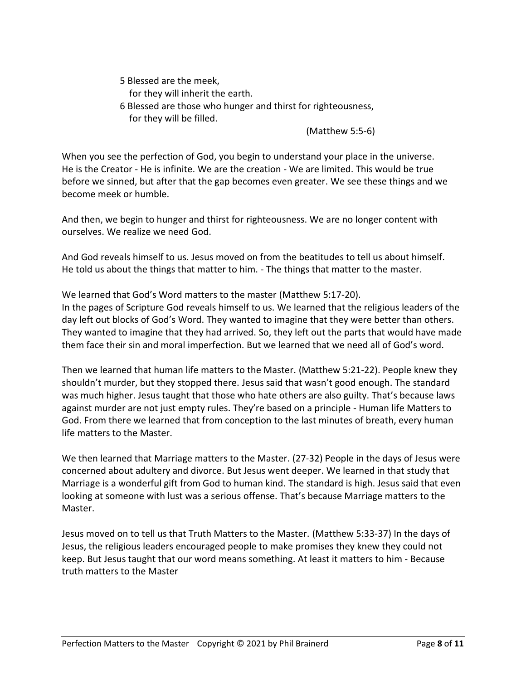5 Blessed are the meek, for they will inherit the earth.

6 Blessed are those who hunger and thirst for righteousness, for they will be filled.

(Matthew 5:5-6)

When you see the perfection of God, you begin to understand your place in the universe. He is the Creator - He is infinite. We are the creation - We are limited. This would be true before we sinned, but after that the gap becomes even greater. We see these things and we become meek or humble.

And then, we begin to hunger and thirst for righteousness. We are no longer content with ourselves. We realize we need God.

And God reveals himself to us. Jesus moved on from the beatitudes to tell us about himself. He told us about the things that matter to him. - The things that matter to the master.

We learned that God's Word matters to the master (Matthew 5:17-20). In the pages of Scripture God reveals himself to us. We learned that the religious leaders of the day left out blocks of God's Word. They wanted to imagine that they were better than others. They wanted to imagine that they had arrived. So, they left out the parts that would have made them face their sin and moral imperfection. But we learned that we need all of God's word.

Then we learned that human life matters to the Master. (Matthew 5:21-22). People knew they shouldn't murder, but they stopped there. Jesus said that wasn't good enough. The standard was much higher. Jesus taught that those who hate others are also guilty. That's because laws against murder are not just empty rules. They're based on a principle - Human life Matters to God. From there we learned that from conception to the last minutes of breath, every human life matters to the Master.

We then learned that Marriage matters to the Master. (27-32) People in the days of Jesus were concerned about adultery and divorce. But Jesus went deeper. We learned in that study that Marriage is a wonderful gift from God to human kind. The standard is high. Jesus said that even looking at someone with lust was a serious offense. That's because Marriage matters to the Master.

Jesus moved on to tell us that Truth Matters to the Master. (Matthew 5:33-37) In the days of Jesus, the religious leaders encouraged people to make promises they knew they could not keep. But Jesus taught that our word means something. At least it matters to him - Because truth matters to the Master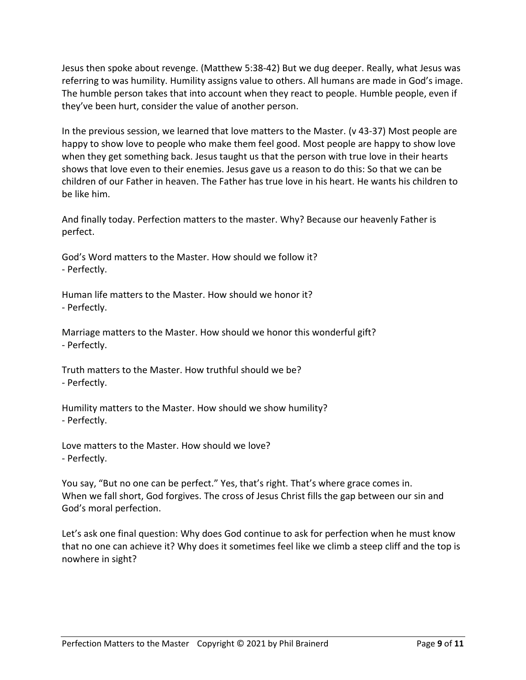Jesus then spoke about revenge. (Matthew 5:38-42) But we dug deeper. Really, what Jesus was referring to was humility. Humility assigns value to others. All humans are made in God's image. The humble person takes that into account when they react to people. Humble people, even if they've been hurt, consider the value of another person.

In the previous session, we learned that love matters to the Master. (v 43-37) Most people are happy to show love to people who make them feel good. Most people are happy to show love when they get something back. Jesus taught us that the person with true love in their hearts shows that love even to their enemies. Jesus gave us a reason to do this: So that we can be children of our Father in heaven. The Father has true love in his heart. He wants his children to be like him.

And finally today. Perfection matters to the master. Why? Because our heavenly Father is perfect.

God's Word matters to the Master. How should we follow it? - Perfectly.

Human life matters to the Master. How should we honor it? - Perfectly.

Marriage matters to the Master. How should we honor this wonderful gift? - Perfectly.

Truth matters to the Master. How truthful should we be? - Perfectly.

Humility matters to the Master. How should we show humility? - Perfectly.

Love matters to the Master. How should we love? - Perfectly.

You say, "But no one can be perfect." Yes, that's right. That's where grace comes in. When we fall short, God forgives. The cross of Jesus Christ fills the gap between our sin and God's moral perfection.

Let's ask one final question: Why does God continue to ask for perfection when he must know that no one can achieve it? Why does it sometimes feel like we climb a steep cliff and the top is nowhere in sight?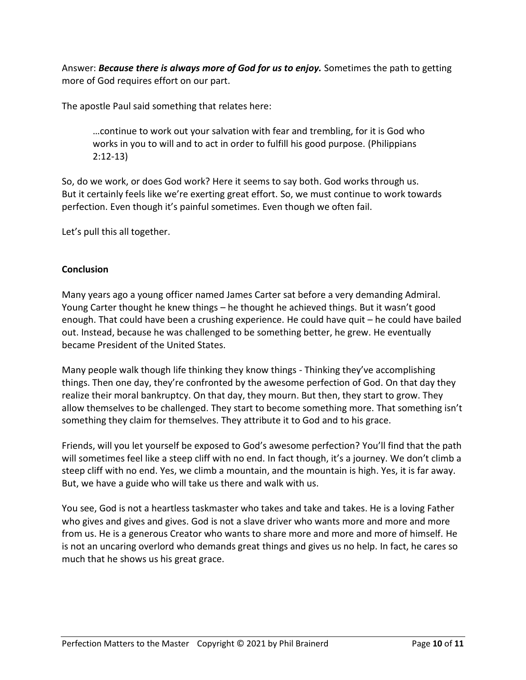Answer: *Because there is always more of God for us to enjoy.* Sometimes the path to getting more of God requires effort on our part.

The apostle Paul said something that relates here:

…continue to work out your salvation with fear and trembling, for it is God who works in you to will and to act in order to fulfill his good purpose. (Philippians 2:12-13)

So, do we work, or does God work? Here it seems to say both. God works through us. But it certainly feels like we're exerting great effort. So, we must continue to work towards perfection. Even though it's painful sometimes. Even though we often fail.

Let's pull this all together.

## **Conclusion**

Many years ago a young officer named James Carter sat before a very demanding Admiral. Young Carter thought he knew things – he thought he achieved things. But it wasn't good enough. That could have been a crushing experience. He could have quit – he could have bailed out. Instead, because he was challenged to be something better, he grew. He eventually became President of the United States.

Many people walk though life thinking they know things - Thinking they've accomplishing things. Then one day, they're confronted by the awesome perfection of God. On that day they realize their moral bankruptcy. On that day, they mourn. But then, they start to grow. They allow themselves to be challenged. They start to become something more. That something isn't something they claim for themselves. They attribute it to God and to his grace.

Friends, will you let yourself be exposed to God's awesome perfection? You'll find that the path will sometimes feel like a steep cliff with no end. In fact though, it's a journey. We don't climb a steep cliff with no end. Yes, we climb a mountain, and the mountain is high. Yes, it is far away. But, we have a guide who will take us there and walk with us.

You see, God is not a heartless taskmaster who takes and take and takes. He is a loving Father who gives and gives and gives. God is not a slave driver who wants more and more and more from us. He is a generous Creator who wants to share more and more and more of himself. He is not an uncaring overlord who demands great things and gives us no help. In fact, he cares so much that he shows us his great grace.